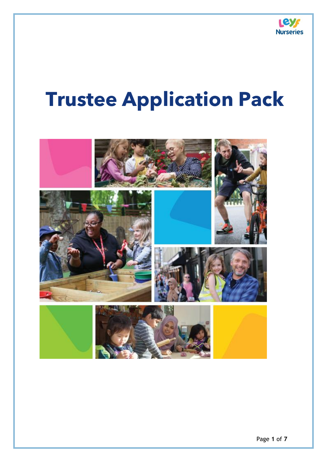

## **Trustee Application Pack**

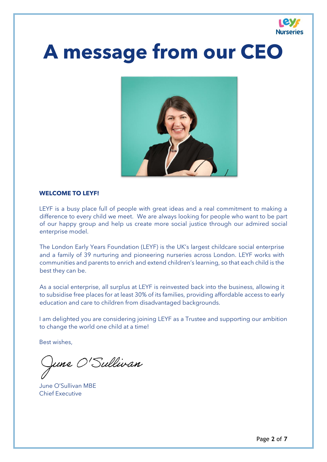

## **A message from our CEO**



#### **WELCOME TO LEYF!**

LEYF is a busy place full of people with great ideas and a real commitment to making a difference to every child we meet. We are always looking for people who want to be part of our happy group and help us create more social justice through our admired social enterprise model.

The London Early Years Foundation (LEYF) is the UK's largest childcare social enterprise and a family of 39 nurturing and pioneering nurseries across London. LEYF works with communities and parents to enrich and extend children's learning, so that each child is the best they can be.

As a social enterprise, all surplus at LEYF is reinvested back into the business, allowing it to subsidise free places for at least 30% of its families, providing affordable access to early education and care to children from disadvantaged backgrounds.

I am delighted you are considering joining LEYF as a Trustee and supporting our ambition to change the world one child at a time!

Best wishes,

une O'Sullivan

June O'Sullivan MBE Chief Executive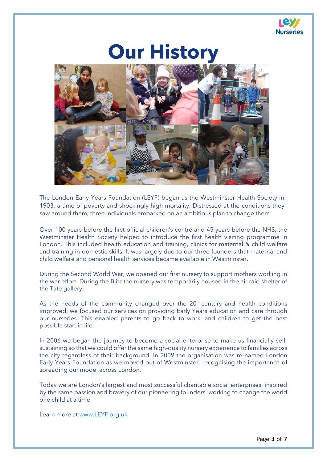

## **Our History**



The London Early Years Foundation (LEYF) began as the Westminster Health Society in 1903, a time of poverty and shockingly high mortality. Distressed at the conditions they saw around them, three individuals embarked on an ambitious plan to change them.

Over 100 years before the first official children's centre and 45 years before the NHS, the Westminster Health Society helped to introduce the first health visiting programme in London. This included health education and training, clinics for maternal & child welfare and training in domestic skills. It was largely due to our three founders that maternal and child welfare and personal health services became available in Westminster.

During the Second World War, we opened our first nursery to support mothers working in the war effort. During the Blitz the nursery was temporarily housed in the air raid shelter of the Tate gallery!

As the needs of the community changed over the  $20<sup>th</sup>$  century and health conditions improved, we focused our services on providing Early Years education and care through our nurseries. This enabled parents to go back to work, and children to get the best possible start in life.

In 2006 we began the journey to become a social enterprise to make us financially selfsustaining so that we could offer the same high-quality nursery experience to families across the city regardless of their background. In 2009 the organisation was re-named London Early Years Foundation as we moved out of Westminster, recognising the importance of spreading our model across London.

Today we are London's largest and most successful charitable social enterprises, inspired by the same passion and bravery of our pioneering founders, working to change the world one child at a time.

Learn more at [www.LEYF.org.uk](http://www.leyf.org.uk/)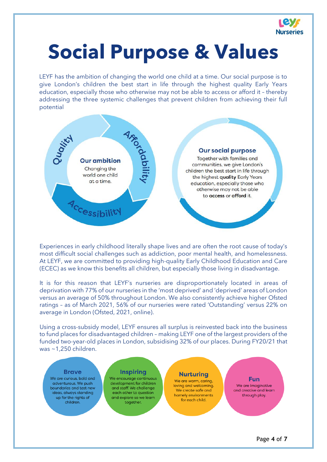

## **Social Purpose & Values**

LEYF has the ambition of changing the world one child at a time. Our social purpose is to give London's children the best start in life through the highest quality Early Years education, especially those who otherwise may not be able to access or afford it – thereby addressing the three systemic challenges that prevent children from achieving their full potential



Experiences in early childhood literally shape lives and are often the root cause of today's most difficult social challenges such as addiction, poor mental health, and homelessness. At LEYF, we are committed to providing high-quality Early Childhood Education and Care (ECEC) as we know this benefits all children, but especially those living in disadvantage.

It is for this reason that LEYF's nurseries are disproportionately located in areas of deprivation with 77% of our nurseries in the 'most deprived' and 'deprived' areas of London versus an average of 50% throughout London. We also consistently achieve higher Ofsted ratings – as of March 2021, 56% of our nurseries were rated 'Outstanding' versus 22% on average in London (Ofsted, 2021, online).

Using a cross-subsidy model, LEYF ensures all surplus is reinvested back into the business to fund places for disadvantaged children – making LEYF one of the largest providers of the funded two-year-old places in London, subsidising 32% of our places. During FY20/21 that was ~1,250 children.

#### **Rrays**

We are curious, bold and adventurous. We push boundaries and test new ideas, always standing up for the rights of children.

#### **Inspiring**

We encourage continuous development for children and staff. We challenge each other to question and explore so we learn together.

#### **Nurturing**

We are warm, caring, loving and welcoming. We create safe and homely environments for each child.

#### **Fun** We are imaginative

and creative and learn through play.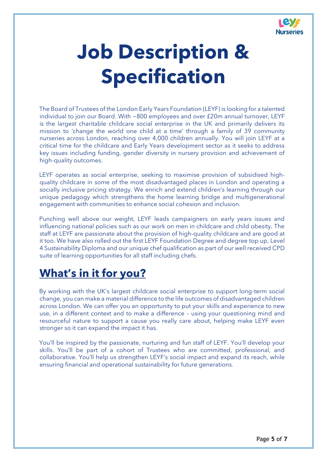

# **Job Description & Specification**

The Board of Trustees of the London Early Years Foundation (LEYF) is looking for a talented individual to join our Board. With ~800 employees and over £20m annual turnover, LEYF is the largest charitable childcare social enterprise in the UK and primarily delivers its mission to 'change the world one child at a time' through a family of 39 community nurseries across London, reaching over 4,000 children annually. You will join LEYF at a critical time for the childcare and Early Years development sector as it seeks to address key issues including funding, gender diversity in nursery provision and achievement of high-quality outcomes.

LEYF operates as social enterprise, seeking to maximise provision of subsidised highquality childcare in some of the most disadvantaged places in London and operating a socially inclusive pricing strategy. We enrich and extend children's learning through our unique pedagogy which strengthens the home learning bridge and multigenerational engagement with communities to enhance social cohesion and inclusion.

Punching well above our weight, LEYF leads campaigners on early years issues and influencing national policies such as our work on men in childcare and child obesity. The staff at LEYF are passionate about the provision of high-quality childcare and are good at it too. We have also rolled out the first LEYF Foundation Degree and degree top up, Level 4 Sustainability Diploma and our unique chef qualification as part of our well received CPD suite of learning opportunities for all staff including chefs.

### **What's in it for you?**

By working with the UK's largest childcare social enterprise to support long-term social change, you can make a material difference to the life outcomes of disadvantaged children across London. We can offer you an opportunity to put your skills and experience to new use, in a different context and to make a difference – using your questioning mind and resourceful nature to support a cause you really care about, helping make LEYF even stronger so it can expand the impact it has.

You'll be inspired by the passionate, nurturing and fun staff of LEYF. You'll develop your skills. You'll be part of a cohort of Trustees who are committed, professional, and collaborative. You'll help us strengthen LEYF's social impact and expand its reach, while ensuring financial and operational sustainability for future generations.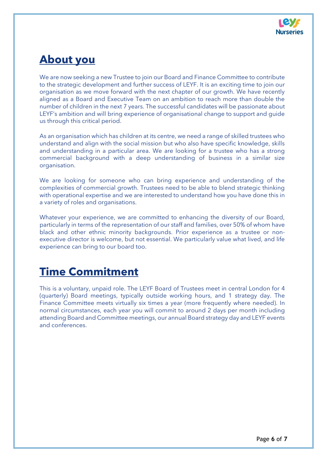

### **About you**

We are now seeking a new Trustee to join our Board and Finance Committee to contribute to the strategic development and further success of LEYF. It is an exciting time to join our organisation as we move forward with the next chapter of our growth. We have recently aligned as a Board and Executive Team on an ambition to reach more than double the number of children in the next 7 years. The successful candidates will be passionate about LEYF's ambition and will bring experience of organisational change to support and guide us through this critical period.

As an organisation which has children at its centre, we need a range of skilled trustees who understand and align with the social mission but who also have specific knowledge, skills and understanding in a particular area. We are looking for a trustee who has a strong commercial background with a deep understanding of business in a similar size organisation.

We are looking for someone who can bring experience and understanding of the complexities of commercial growth. Trustees need to be able to blend strategic thinking with operational expertise and we are interested to understand how you have done this in a variety of roles and organisations.

Whatever your experience, we are committed to enhancing the diversity of our Board, particularly in terms of the representation of our staff and families, over 50% of whom have black and other ethnic minority backgrounds. Prior experience as a trustee or nonexecutive director is welcome, but not essential. We particularly value what lived, and life experience can bring to our board too.

### **Time Commitment**

This is a voluntary, unpaid role. The LEYF Board of Trustees meet in central London for 4 (quarterly) Board meetings, typically outside working hours, and 1 strategy day. The Finance Committee meets virtually six times a year (more frequently where needed). In normal circumstances, each year you will commit to around 2 days per month including attending Board and Committee meetings, our annual Board strategy day and LEYF events and conferences.